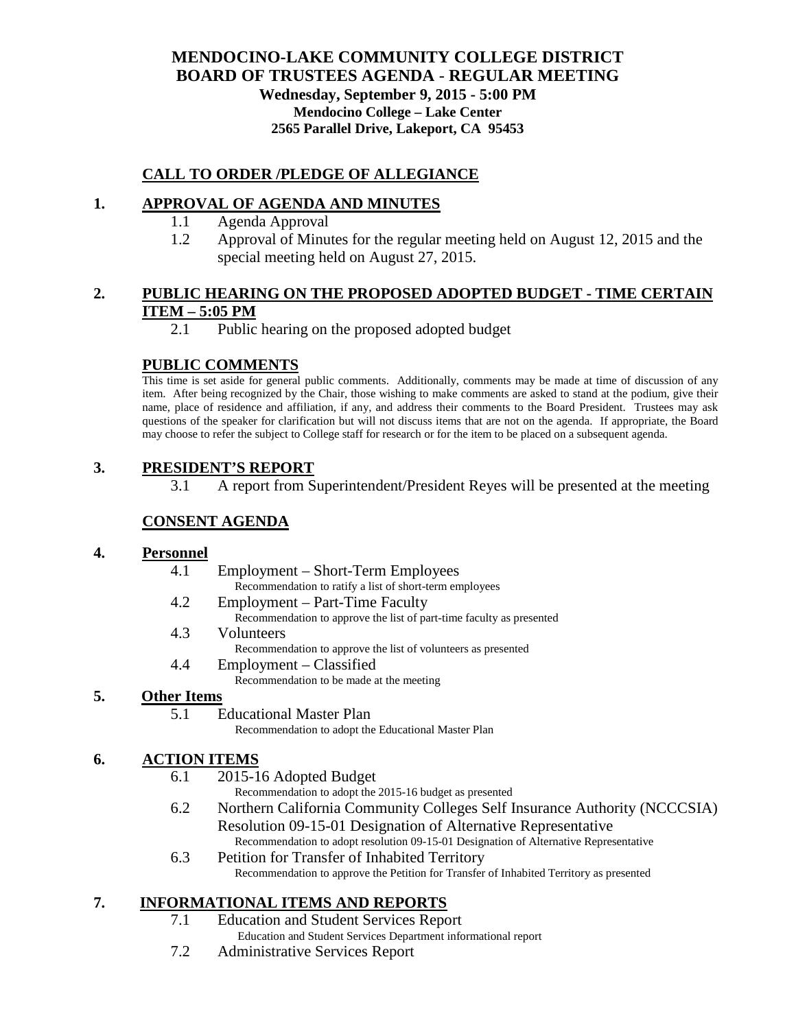# **MENDOCINO-LAKE COMMUNITY COLLEGE DISTRICT BOARD OF TRUSTEES AGENDA** - **REGULAR MEETING**

**Wednesday, September 9, 2015 - 5:00 PM Mendocino College – Lake Center 2565 Parallel Drive, Lakeport, CA 95453**

## **CALL TO ORDER /PLEDGE OF ALLEGIANCE**

## **1. APPROVAL OF AGENDA AND MINUTES**

- 1.1 Agenda Approval
- 1.2 Approval of Minutes for the regular meeting held on August 12, 2015 and the special meeting held on August 27, 2015.

#### **2. PUBLIC HEARING ON THE PROPOSED ADOPTED BUDGET - TIME CERTAIN ITEM – 5:05 PM**

2.1 Public hearing on the proposed adopted budget

## **PUBLIC COMMENTS**

This time is set aside for general public comments. Additionally, comments may be made at time of discussion of any item. After being recognized by the Chair, those wishing to make comments are asked to stand at the podium, give their name, place of residence and affiliation, if any, and address their comments to the Board President. Trustees may ask questions of the speaker for clarification but will not discuss items that are not on the agenda. If appropriate, the Board may choose to refer the subject to College staff for research or for the item to be placed on a subsequent agenda.

## **3. PRESIDENT'S REPORT**

3.1 A report from Superintendent/President Reyes will be presented at the meeting

## **CONSENT AGENDA**

#### **4. Personnel**

- 4.1 Employment Short-Term Employees
	- Recommendation to ratify a list of short-term employees
- 4.2 Employment Part-Time Faculty
	- Recommendation to approve the list of part-time faculty as presented
- 4.3 Volunteers
	- Recommendation to approve the list of volunteers as presented
- 4.4 Employment Classified
	- Recommendation to be made at the meeting

#### **5. Other Items**

5.1 Educational Master Plan

Recommendation to adopt the Educational Master Plan

#### **6. ACTION ITEMS**

6.1 2015-16 Adopted Budget

Recommendation to adopt the 2015-16 budget as presented

- 6.2 Northern California Community Colleges Self Insurance Authority (NCCCSIA) Resolution 09-15-01 Designation of Alternative Representative Recommendation to adopt resolution 09-15-01 Designation of Alternative Representative
- 6.3 Petition for Transfer of Inhabited Territory Recommendation to approve the Petition for Transfer of Inhabited Territory as presented

#### **7. INFORMATIONAL ITEMS AND REPORTS**

- 7.1 Education and Student Services Report Education and Student Services Department informational report
- 7.2 Administrative Services Report